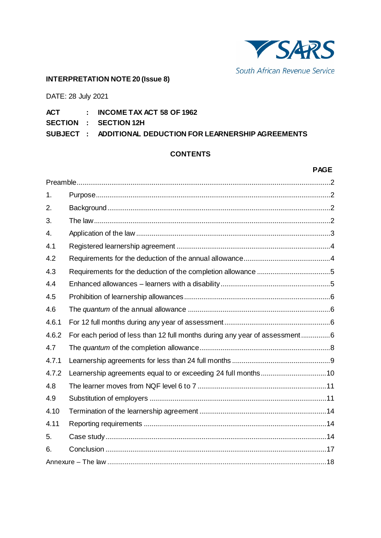

# **INTERPRETATION NOTE 20 (Issue 8)**

DATE: 28 July 2021

- **ACT : INCOME TAX ACT 58 OF 1962**
- **SECTION : SECTION 12H**

**SUBJECT : ADDITIONAL DEDUCTION FOR LEARNERSHIP AGREEMENTS**

# **CONTENTS**

#### **PAGE**

| 1.    |                                                                            |  |  |
|-------|----------------------------------------------------------------------------|--|--|
| 2.    |                                                                            |  |  |
| 3.    |                                                                            |  |  |
| 4.    |                                                                            |  |  |
| 4.1   |                                                                            |  |  |
| 4.2   |                                                                            |  |  |
| 4.3   |                                                                            |  |  |
| 4.4   |                                                                            |  |  |
| 4.5   |                                                                            |  |  |
| 4.6   |                                                                            |  |  |
| 4.6.1 |                                                                            |  |  |
| 4.6.2 | For each period of less than 12 full months during any year of assessment6 |  |  |
| 4.7   |                                                                            |  |  |
| 4.7.1 |                                                                            |  |  |
| 4.7.2 |                                                                            |  |  |
| 4.8   |                                                                            |  |  |
| 4.9   |                                                                            |  |  |
| 4.10  |                                                                            |  |  |
| 4.11  |                                                                            |  |  |
| 5.    |                                                                            |  |  |
| 6.    |                                                                            |  |  |
|       |                                                                            |  |  |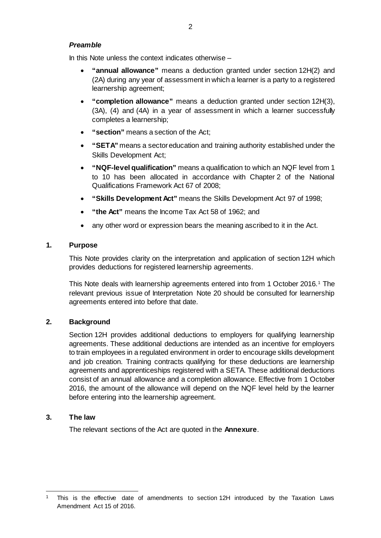### <span id="page-1-0"></span>*Preamble*

In this Note unless the context indicates otherwise  $-$ 

- **"annual allowance"** means a deduction granted under section 12H(2) and (2A) during any year of assessment in which a learner is a party to a registered learnership agreement;
- **"completion allowance"** means a deduction granted under section 12H(3), (3A), (4) and (4A) in a year of assessment in which a learner successfully completes a learnership;
- **"section"** means a section of the Act;
- **"SETA"** means a sector education and training authority established under the Skills Development Act;
- **"NQF-level qualification"** means a qualification to which an NQF level from 1 to 10 has been allocated in accordance with Chapter 2 of the National Qualifications Framework Act 67 of 2008;
- **"Skills Development Act"** means the Skills Development Act 97 of 1998;
- **"the Act"** means the Income Tax Act 58 of 1962; and
- any other word or expression bears the meaning ascribed to it in the Act.

### <span id="page-1-1"></span>**1. Purpose**

This Note provides clarity on the interpretation and application of section 12H which provides deductions for registered learnership agreements.

This Note deals with learnership agreements entered into from [1](#page-1-4) October 2016.<sup>1</sup> The relevant previous issue of Interpretation Note 20 should be consulted for learnership agreements entered into before that date.

### <span id="page-1-2"></span>**2. Background**

Section 12H provides additional deductions to employers for qualifying learnership agreements. These additional deductions are intended as an incentive for employers to train employees in a regulated environment in order to encourage skills development and job creation. Training contracts qualifying for these deductions are learnership agreements and apprenticeships registered with a SETA. These additional deductions consist of an annual allowance and a completion allowance. Effective from 1 October 2016, the amount of the allowance will depend on the NQF level held by the learner before entering into the learnership agreement.

### <span id="page-1-3"></span>**3. The law**

The relevant sections of the Act are quoted in the **[Annexure](#page-17-0)**.

<span id="page-1-4"></span>This is the effective date of amendments to section 12H introduced by the Taxation Laws Amendment Act 15 of 2016.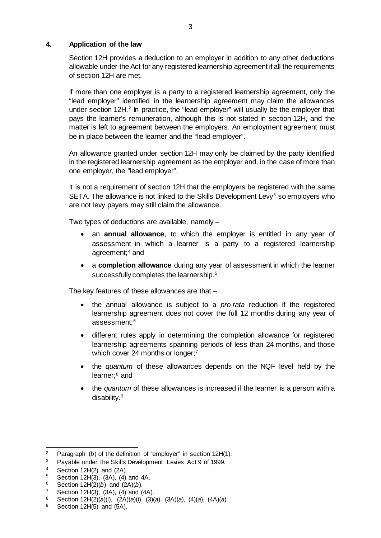#### <span id="page-2-0"></span>**4. Application of the law**

Section 12H provides a deduction to an employer in addition to any other deductions allowable under the Act for any registered learnership agreement if all the requirements of section 12H are met.

If more than one employer is a party to a registered learnership agreement, only the "lead employer" identified in the learnership agreement may claim the allowances under section  $12H<sup>2</sup>$  $12H<sup>2</sup>$  $12H<sup>2</sup>$  In practice, the "lead employer" will usually be the employer that pays the learner's remuneration, although this is not stated in section 12H, and the matter is left to agreement between the employers. An employment agreement must be in place between the learner and the "lead employer".

An allowance granted under section 12H may only be claimed by the party identified in the registered learnership agreement as the employer and, in the case of more than one employer, the "lead employer".

It is not a requirement of section 12H that the employers be registered with the same SETA. The allowance is not linked to the Skills Development Levy<sup>[3](#page-2-2)</sup> so employers who are not levy payers may still claim the allowance.

Two types of deductions are available, namely –

- an **annual allowance**, to which the employer is entitled in any year of assessment in which a learner is a party to a registered learnership agreement;<sup>[4](#page-2-3)</sup> and
- a **completion allowance** during any year of assessment in which the learner successfully completes the learnership.<sup>[5](#page-2-4)</sup>

The key features of these allowances are that –

- the annual allowance is subject to a *pro rata* reduction if the registered learnership agreement does not cover the full 12 months during any year of assessment; [6](#page-2-5)
- different rules apply in determining the completion allowance for registered learnership agreements spanning periods of less than 24 months, and those which cover 24 months or longer; [7](#page-2-6)
- the *quantum* of these allowances depends on the NQF level held by the learner:<sup>[8](#page-2-7)</sup> and
- the *quantum* of these allowances is increased if the learner is a person with a disability. [9](#page-2-8)

<span id="page-2-1"></span><sup>&</sup>lt;sup>2</sup> Paragraph (*b*) of the definition of "employer" in section 12H(1).

<span id="page-2-2"></span><sup>3</sup> Payable under the Skills Development Levies Act 9 of 1999.

<span id="page-2-3"></span><sup>4</sup> Section 12H(2) and (2A).<br>5 Section 12H(3) (3A) (4)

<span id="page-2-4"></span><sup>5</sup> Section 12H(3), (3A), (4) and 4A.<br>6 Section 12H(2)(b) and (2A)(b)

<span id="page-2-5"></span><sup>6</sup> Section 12H(2)(*b*) and (2A)(*b*).<br>7 Section 12H(3) (3A) (4) and (

<span id="page-2-6"></span><sup>7</sup> Section 12H(3), (3A), (4) and (4A).<br>8 Section 12H(2)(a)(i) (2A)(a)(i) (3)(

<span id="page-2-7"></span><sup>8</sup> Section 12H(2)(*a*)(i), (2A)(*a*)(i), (3)(*a*), (3A)(*a*), (4)(*a*), (4A)(*a*).

<span id="page-2-8"></span>Section  $12H(5)$  and  $(5A)$ .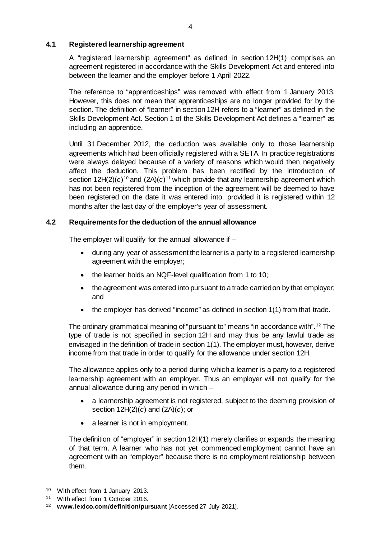### <span id="page-3-0"></span>**4.1 Registered learnership agreement**

A "registered learnership agreement" as defined in section 12H(1) comprises an agreement registered in accordance with the Skills Development Act and entered into between the learner and the employer before 1 April 2022.

The reference to "apprenticeships" was removed with effect from 1 January 2013. However, this does not mean that apprenticeships are no longer provided for by the section. The definition of "learner" in section 12H refers to a "learner" as defined in the Skills Development Act. Section 1 of the Skills Development Act defines a "learner" as including an apprentice.

Until 31 December 2012, the deduction was available only to those learnership agreements which had been officially registered with a SETA. In practice registrations were always delayed because of a variety of reasons which would then negatively affect the deduction. This problem has been rectified by the introduction of section  $12H(2)(c)^{10}$  $12H(2)(c)^{10}$  $12H(2)(c)^{10}$  and  $(2A)(c)^{11}$  $(2A)(c)^{11}$  $(2A)(c)^{11}$  which provide that any learnership agreement which has not been registered from the inception of the agreement will be deemed to have been registered on the date it was entered into, provided it is registered within 12 months after the last day of the employer's year of assessment.

# <span id="page-3-1"></span>**4.2 Requirements for the deduction of the annual allowance**

The employer will qualify for the annual allowance if  $-$ 

- during any year of assessment the learner is a party to a registered learnership agreement with the employer;
- the learner holds an NQF-level qualification from 1 to 10;
- the agreement was entered into pursuant to a trade carried on by that employer; and
- the employer has derived "income" as defined in section 1(1) from that trade.

The ordinary grammatical meaning of "pursuant to" means "in accordance with".[12](#page-3-4) The type of trade is not specified in section 12H and may thus be any lawful trade as envisaged in the definition of trade in section 1(1). The employer must, however, derive income from that trade in order to qualify for the allowance under section 12H.

The allowance applies only to a period during which a learner is a party to a registered learnership agreement with an employer. Thus an employer will not qualify for the annual allowance during any period in which –

- a learnership agreement is not registered, subject to the deeming provision of section 12H(2)(*c*) and (2A)(*c*); or
- a learner is not in employment.

The definition of "employer" in section 12H(1) merely clarifies or expands the meaning of that term. A learner who has not yet commenced employment cannot have an agreement with an "employer" because there is no employment relationship between them.

<span id="page-3-2"></span><sup>&</sup>lt;sup>10</sup> With effect from 1 January 2013.

<span id="page-3-3"></span><sup>11</sup> With effect from 1 October 2016.

<span id="page-3-4"></span><sup>12</sup> **[www.lexico.com/definition/pursuant](http://www.lexico.com/definition/pursuant)** [Accessed 27 July 2021].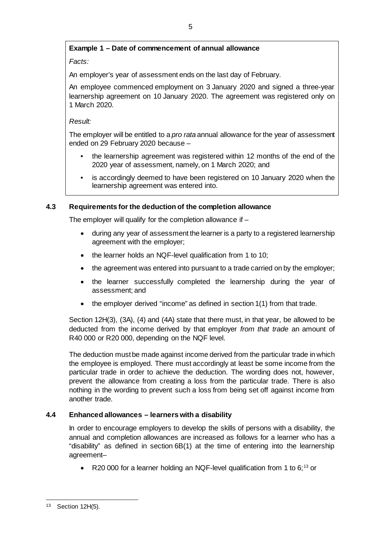# **Example 1 – Date of commencement of annual allowance**

# *Facts:*

An employer's year of assessment ends on the last day of February.

An employee commenced employment on 3 January 2020 and signed a three-year learnership agreement on 10 January 2020. The agreement was registered only on 1 March 2020.

### *Result:*

The employer will be entitled to a *pro rata* annual allowance for the year of assessment ended on 29 February 2020 because –

- the learnership agreement was registered within 12 months of the end of the 2020 year of assessment, namely, on 1 March 2020; and
- is accordingly deemed to have been registered on 10 January 2020 when the learnership agreement was entered into.

# <span id="page-4-0"></span>**4.3 Requirements for the deduction of the completion allowance**

The employer will qualify for the completion allowance if –

- during any year of assessment the learner is a party to a registered learnership agreement with the employer;
- the learner holds an NQF-level qualification from 1 to 10;
- the agreement was entered into pursuant to a trade carried on by the employer;
- the learner successfully completed the learnership during the year of assessment; and
- the employer derived "income" as defined in section 1(1) from that trade.

Section 12H(3), (3A), (4) and (4A) state that there must, in that year, be allowed to be deducted from the income derived by that employer *from that trade* an amount of R40 000 or R20 000, depending on the NQF level.

The deduction must be made against income derived from the particular trade in which the employee is employed. There must accordingly at least be some income from the particular trade in order to achieve the deduction. The wording does not, however, prevent the allowance from creating a loss from the particular trade. There is also nothing in the wording to prevent such a loss from being set off against income from another trade.

# <span id="page-4-1"></span>**4.4 Enhanced allowances – learners with a disability**

In order to encourage employers to develop the skills of persons with a disability, the annual and completion allowances are increased as follows for a learner who has a "disability" as defined in section 6B(1) at the time of entering into the learnership agreement–

• R20 000 for a learner holding an NQF-level qualification from 1 to 6:<sup>[13](#page-4-2)</sup> or

<span id="page-4-2"></span> <sup>13</sup> Section 12H(5).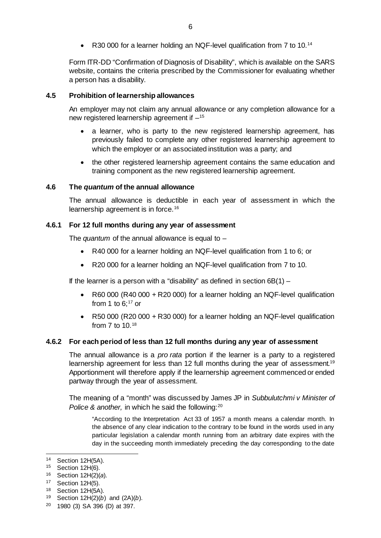R30 000 for a learner holding an NQF-level qualification from 7 to 10.<sup>[14](#page-5-4)</sup>

Form ITR-DD "Confirmation of Diagnosis of Disability", which is available on the SARS website, contains the criteria prescribed by the Commissioner for evaluating whether a person has a disability.

#### <span id="page-5-0"></span>**4.5 Prohibition of learnership allowances**

An employer may not claim any annual allowance or any completion allowance for a new registered learnership agreement if  $-15$  $-15$ 

- a learner, who is party to the new registered learnership agreement, has previously failed to complete any other registered learnership agreement to which the employer or an associated institution was a party; and
- the other registered learnership agreement contains the same education and training component as the new registered learnership agreement.

### <span id="page-5-1"></span>**4.6 The** *quantum* **of the annual allowance**

The annual allowance is deductible in each year of assessment in which the learnership agreement is in force.<sup>[16](#page-5-6)</sup>

#### <span id="page-5-2"></span>**4.6.1 For 12 full months during any year of assessment**

The *quantum* of the annual allowance is equal to –

- R40 000 for a learner holding an NQF-level qualification from 1 to 6; or
- R20 000 for a learner holding an NQF-level qualification from 7 to 10.

If the learner is a person with a "disability" as defined in section  $6B(1)$  –

- R60 000 (R40 000 + R20 000) for a learner holding an NQF-level qualification from 1 to  $6$ ;  $17$  or
- R50 000 (R20 000 + R30 000) for a learner holding an NQF-level qualification from 7 to 10.[18](#page-5-8)

#### <span id="page-5-3"></span>**4.6.2 For each period of less than 12 full months during any year of assessment**

The annual allowance is a *pro rata* portion if the learner is a party to a registered learnership agreement for less than 12 full months during the year of assessment.<sup>[19](#page-5-9)</sup> Apportionment will therefore apply if the learnership agreement commenced or ended partway through the year of assessment.

The meaning of a "month" was discussed by James JP in *Subbulutchmi v Minister of Police & another, in which he said the following:*<sup>[20](#page-5-10)</sup>

"According to the Interpretation Act 33 of 1957 a month means a calendar month. In the absence of any clear indication to the contrary to be found in the words used in any particular legislation a calendar month running from an arbitrary date expires with the day in the succeeding month immediately preceding the day corresponding to the date

<span id="page-5-4"></span> <sup>14</sup> Section 12H(5A).

<span id="page-5-5"></span><sup>15</sup> Section 12H(6).

<span id="page-5-6"></span><sup>16</sup> Section 12H(2)(*a*).

<span id="page-5-7"></span><sup>17</sup> Section 12H(5).

<span id="page-5-8"></span><sup>18</sup> Section 12H(5A).

<span id="page-5-9"></span><sup>19</sup> Section 12H(2)(*b*) and (2A)(*b*).

<span id="page-5-10"></span><sup>20</sup> 1980 (3) SA 396 (D) at 397.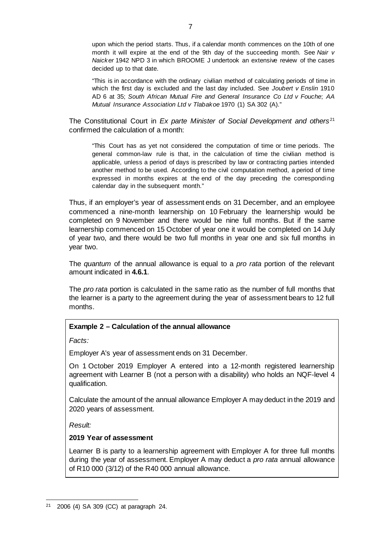upon which the period starts. Thus, if a calendar month commences on the 10th of one month it will expire at the end of the 9th day of the succeeding month. See *Nair v Naicker* 1942 NPD 3 in which BROOME J undertook an extensive review of the cases decided up to that date.

"This is in accordance with the ordinary civilian method of calculating periods of time in which the first day is excluded and the last day included. See *Joubert v Enslin* 1910 AD 6 at 35; *South African Mutual Fire and General Insurance Co Ltd v Fouche*; *AA Mutual Insurance Association Ltd v Tlabakoe* 1970 (1) SA 302 (A)."

The Constitutional Court in *Ex parte Minister of Social Development and others* [21](#page-6-0) confirmed the calculation of a month:

"This Court has as yet not considered the computation of time or time periods. The general common-law rule is that, in the calculation of time the civilian method is applicable, unless a period of days is prescribed by law or contracting parties intended another method to be used. According to the civil computation method, a period of time expressed in months expires at the end of the day preceding the corresponding calendar day in the subsequent month."

Thus, if an employer's year of assessment ends on 31 December, and an employee commenced a nine-month learnership on 10 February the learnership would be completed on 9 November and there would be nine full months. But if the same learnership commenced on 15 October of year one it would be completed on 14 July of year two, and there would be two full months in year one and six full months in year two.

The *quantum* of the annual allowance is equal to a *pro rata* portion of the relevant amount indicated in **[4.6.1](#page-5-2)**.

The *pro rata* portion is calculated in the same ratio as the number of full months that the learner is a party to the agreement during the year of assessment bears to 12 full months.

# **Example 2 – Calculation of the annual allowance**

*Facts:*

Employer A's year of assessment ends on 31 December.

On 1 October 2019 Employer A entered into a 12-month registered learnership agreement with Learner B (not a person with a disability) who holds an NQF-level 4 qualification.

Calculate the amount of the annual allowance Employer A may deduct in the 2019 and 2020 years of assessment.

*Result:*

### **2019 Year of assessment**

Learner B is party to a learnership agreement with Employer A for three full months during the year of assessment. Employer A may deduct a *pro rata* annual allowance of R10 000 (3/12) of the R40 000 annual allowance.

<span id="page-6-0"></span> <sup>21</sup> 2006 (4) SA 309 (CC) at paragraph 24.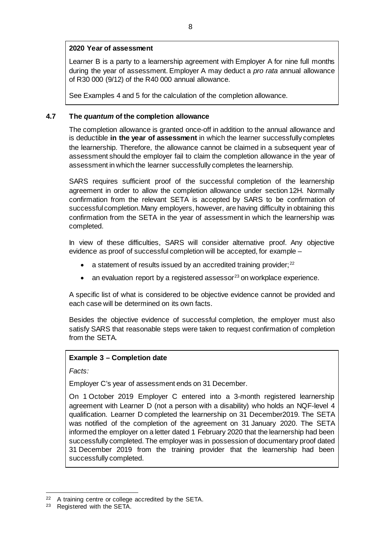### **2020 Year of assessment**

Learner B is a party to a learnership agreement with Employer A for nine full months during the year of assessment. Employer A may deduct a *pro rata* annual allowance of R30 000 (9/12) of the R40 000 annual allowance.

See Examples 4 and 5 for the calculation of the completion allowance.

### <span id="page-7-0"></span>**4.7 The** *quantum* **of the completion allowance**

The completion allowance is granted once-off in addition to the annual allowance and is deductible **in the year of assessment** in which the learner successfully completes the learnership. Therefore, the allowance cannot be claimed in a subsequent year of assessment should the employer fail to claim the completion allowance in the year of assessment in which the learner successfully completes the learnership.

SARS requires sufficient proof of the successful completion of the learnership agreement in order to allow the completion allowance under section 12H. Normally confirmation from the relevant SETA is accepted by SARS to be confirmation of successful completion. Many employers, however, are having difficulty in obtaining this confirmation from the SETA in the year of assessment in which the learnership was completed.

In view of these difficulties, SARS will consider alternative proof. Any objective evidence as proof of successful completion will be accepted, for example –

- a statement of results issued by an accredited training provider; $^{22}$  $^{22}$  $^{22}$
- an evaluation report by a registered assessor<sup>[23](#page-7-2)</sup> on workplace experience.

A specific list of what is considered to be objective evidence cannot be provided and each case will be determined on its own facts.

Besides the objective evidence of successful completion, the employer must also satisfy SARS that reasonable steps were taken to request confirmation of completion from the SETA.

### **Example 3 – Completion date**

*Facts:*

Employer C's year of assessment ends on 31 December.

On 1 October 2019 Employer C entered into a 3-month registered learnership agreement with Learner D (not a person with a disability) who holds an NQF-level 4 qualification. Learner D completed the learnership on 31 December2019. The SETA was notified of the completion of the agreement on 31 January 2020. The SETA informed the employer on a letter dated 1 February 2020 that the learnership had been successfully completed. The employer was in possession of documentary proof dated 31 December 2019 from the training provider that the learnership had been successfully completed.

<span id="page-7-1"></span> <sup>22</sup> A training centre or college accredited by the SETA.

<span id="page-7-2"></span><sup>23</sup> Registered with the SETA.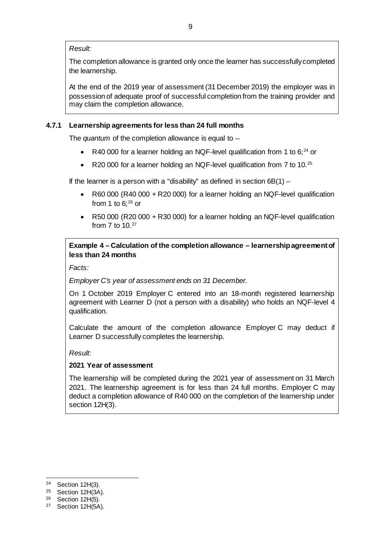#### *Result:*

The completion allowance is granted only once the learner has successfully completed the learnership.

At the end of the 2019 year of assessment (31 December 2019) the employer was in possession of adequate proof of successful completion from the training provider and may claim the completion allowance.

### <span id="page-8-0"></span>**4.7.1 Learnership agreements for less than 24 full months**

The *quantum* of the completion allowance is equal to –

- R40 000 for a learner holding an NQF-level qualification from 1 to  $6$ ;<sup>[24](#page-8-1)</sup> or
- R20 000 for a learner holding an NQF-level qualification from 7 to 10.<sup>[25](#page-8-2)</sup>

If the learner is a person with a "disability" as defined in section  $6B(1)$  –

- R60 000 (R40 000 + R20 000) for a learner holding an NQF-level qualification from 1 to  $6$ ;  $26$  or
- R50 000 (R20 000 + R30 000) for a learner holding an NQF-level qualification from  $7$  to  $10.<sup>27</sup>$  $10.<sup>27</sup>$  $10.<sup>27</sup>$

### **Example 4 – Calculation of the completion allowance – learnership agreement of less than 24 months**

*Facts:*

*Employer C's year of assessment ends on 31 December.*

On 1 October 2019 Employer C entered into an 18-month registered learnership agreement with Learner D (not a person with a disability) who holds an NQF-level 4 qualification.

Calculate the amount of the completion allowance Employer C may deduct if Learner D successfully completes the learnership.

### *Result:*

### **2021 Year of assessment**

The learnership will be completed during the 2021 year of assessment on 31 March 2021. The learnership agreement is for less than 24 full months. Employer C may deduct a completion allowance of R40 000 on the completion of the learnership under section 12H(3).

<span id="page-8-1"></span> <sup>24</sup> Section 12H(3).

<span id="page-8-2"></span><sup>25</sup> Section 12H(3A).

<span id="page-8-3"></span><sup>26</sup> Section 12H(5).

<span id="page-8-4"></span><sup>27</sup> Section 12H(5A).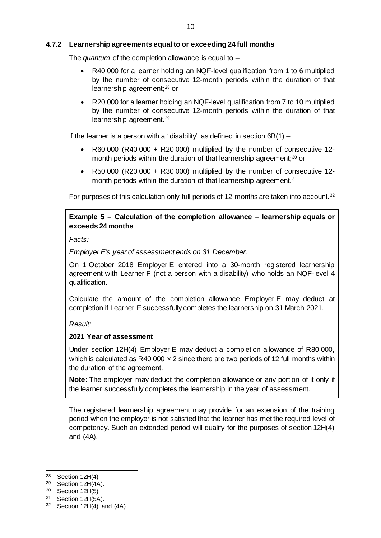### <span id="page-9-0"></span>**4.7.2 Learnership agreements equal to or exceeding 24 full months**

The *quantum* of the completion allowance is equal to –

- R40 000 for a learner holding an NQF-level qualification from 1 to 6 multiplied by the number of consecutive 12-month periods within the duration of that learnership agreement;<sup>[28](#page-9-1)</sup> or
- R20 000 for a learner holding an NQF-level qualification from 7 to 10 multiplied by the number of consecutive 12-month periods within the duration of that learnership agreement.<sup>[29](#page-9-2)</sup>

If the learner is a person with a "disability" as defined in section  $6B(1)$  –

- R60 000 (R40 000 + R20 000) multiplied by the number of consecutive 12 month periods within the duration of that learnership agreement; [30](#page-9-3) or
- R50 000 (R20 000 + R30 000) multiplied by the number of consecutive 12- month periods within the duration of that learnership agreement.<sup>[31](#page-9-4)</sup>

For purposes of this calculation only full periods of 12 months are taken into account.<sup>[32](#page-9-5)</sup>

# **Example 5 – Calculation of the completion allowance – learnership equals or exceeds 24 months**

*Facts:*

*Employer E's year of assessment ends on 31 December.*

On 1 October 2018 Employer E entered into a 30-month registered learnership agreement with Learner F (not a person with a disability) who holds an NQF-level 4 qualification.

Calculate the amount of the completion allowance Employer E may deduct at completion if Learner F successfully completes the learnership on 31 March 2021.

*Result:*

### **2021 Year of assessment**

Under section 12H(4) Employer E may deduct a completion allowance of R80 000, which is calculated as R40 000  $\times$  2 since there are two periods of 12 full months within the duration of the agreement.

**Note:** The employer may deduct the completion allowance or any portion of it only if the learner successfully completes the learnership in the year of assessment.

The registered learnership agreement may provide for an extension of the training period when the employer is not satisfied that the learner has met the required level of competency. Such an extended period will qualify for the purposes of section 12H(4) and (4A).

<span id="page-9-1"></span> <sup>28</sup> Section 12H(4).

<span id="page-9-2"></span><sup>29</sup> Section 12H(4A).

<span id="page-9-3"></span> $30$  Section 12H(5).<br> $31$  Section 12H(5A)

Section 12H(5A).

<span id="page-9-5"></span><span id="page-9-4"></span> $32$  Section 12H(4) and (4A).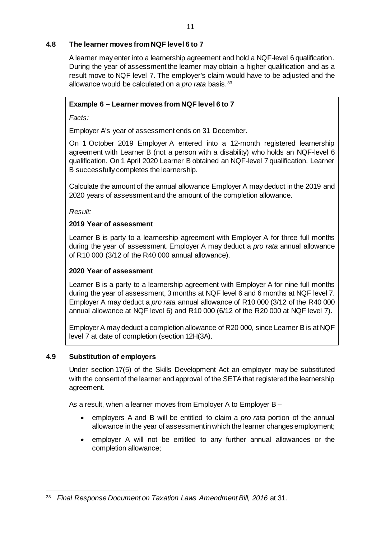# <span id="page-10-0"></span>**4.8 The learner moves from NQF level 6 to 7**

A learner may enter into a learnership agreement and hold a NQF-level 6 qualification. During the year of assessment the learner may obtain a higher qualification and as a result move to NQF level 7. The employer's claim would have to be adjusted and the allowance would be calculated on a *pro rata* basis.[33](#page-10-2)

# **Example 6 – Learner moves from NQF level 6 to 7**

*Facts:*

Employer A's year of assessment ends on 31 December.

On 1 October 2019 Employer A entered into a 12-month registered learnership agreement with Learner B (not a person with a disability) who holds an NQF-level 6 qualification. On 1 April 2020 Learner B obtained an NQF-level 7 qualification. Learner B successfully completes the learnership.

Calculate the amount of the annual allowance Employer A may deduct in the 2019 and 2020 years of assessment and the amount of the completion allowance.

*Result:*

# **2019 Year of assessment**

Learner B is party to a learnership agreement with Employer A for three full months during the year of assessment. Employer A may deduct a *pro rata* annual allowance of R10 000 (3/12 of the R40 000 annual allowance).

# **2020 Year of assessment**

Learner B is a party to a learnership agreement with Employer A for nine full months during the year of assessment, 3 months at NQF level 6 and 6 months at NQF level 7. Employer A may deduct a *pro rata* annual allowance of R10 000 (3/12 of the R40 000 annual allowance at NQF level 6) and R10 000 (6/12 of the R20 000 at NQF level 7).

Employer A may deduct a completion allowance of R20 000, since Learner B is at NQF level 7 at date of completion (section 12H(3A).

# <span id="page-10-1"></span>**4.9 Substitution of employers**

Under section 17(5) of the Skills Development Act an employer may be substituted with the consent of the learner and approval of the SETA that registered the learnership agreement.

As a result, when a learner moves from Employer A to Employer B –

- employers A and B will be entitled to claim a *pro rata* portion of the annual allowance in the year of assessment in which the learner changes employment;
- employer A will not be entitled to any further annual allowances or the completion allowance;

<span id="page-10-2"></span> <sup>33</sup> *Final Response Document on Taxation Laws Amendment Bill, 2016* at 31.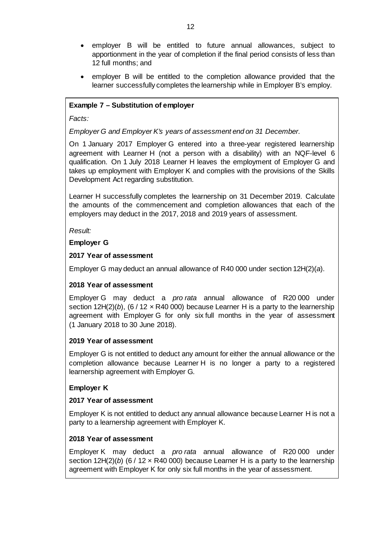- employer B will be entitled to future annual allowances, subject to apportionment in the year of completion if the final period consists of less than 12 full months; and
- employer B will be entitled to the completion allowance provided that the learner successfully completes the learnership while in Employer B's employ.

# **Example 7 – Substitution of employer**

#### *Facts:*

### *Employer G and Employer K's years of assessment end on 31 December.*

On 1 January 2017 Employer G entered into a three-year registered learnership agreement with Learner H (not a person with a disability) with an NQF-level 6 qualification. On 1 July 2018 Learner H leaves the employment of Employer G and takes up employment with Employer K and complies with the provisions of the Skills Development Act regarding substitution.

Learner H successfully completes the learnership on 31 December 2019. Calculate the amounts of the commencement and completion allowances that each of the employers may deduct in the 2017, 2018 and 2019 years of assessment.

*Result:*

### **Employer G**

### **2017 Year of assessment**

Employer G may deduct an annual allowance of R40 000 under section 12H(2)(*a*).

### **2018 Year of assessment**

Employer G may deduct a *pro rata* annual allowance of R20 000 under section  $12H(2)(b)$ , (6 / 12  $\times$  R40 000) because Learner H is a party to the learnership agreement with Employer G for only six full months in the year of assessment (1 January 2018 to 30 June 2018).

### **2019 Year of assessment**

Employer G is not entitled to deduct any amount for either the annual allowance or the completion allowance because Learner H is no longer a party to a registered learnership agreement with Employer G.

### **Employer K**

### **2017 Year of assessment**

Employer K is not entitled to deduct any annual allowance because Learner H is not a party to a learnership agreement with Employer K.

### **2018 Year of assessment**

Employer K may deduct a *pro rata* annual allowance of R20 000 under section  $12H(2)(b)$  (6 /  $12 \times R40000$ ) because Learner H is a party to the learnership agreement with Employer K for only six full months in the year of assessment.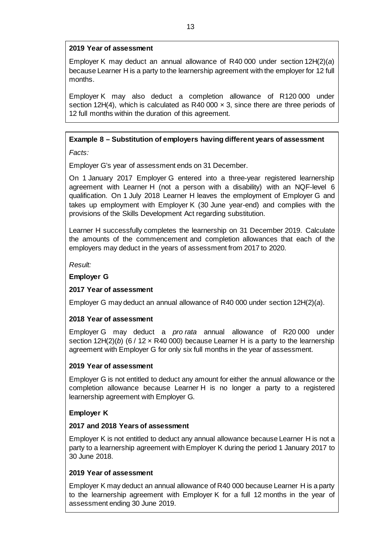### **2019 Year of assessment**

Employer K may deduct an annual allowance of R40 000 under section 12H(2)(*a*) because Learner H is a party to the learnership agreement with the employer for 12 full months.

Employer K may also deduct a completion allowance of R120 000 under section 12H(4), which is calculated as R40 000  $\times$  3, since there are three periods of 12 full months within the duration of this agreement.

# **Example 8 – Substitution of employers having different years of assessment**

*Facts:*

Employer G's year of assessment ends on 31 December.

On 1 January 2017 Employer G entered into a three-year registered learnership agreement with Learner H (not a person with a disability) with an NQF-level 6 qualification. On 1 July 2018 Learner H leaves the employment of Employer G and takes up employment with Employer K (30 June year-end) and complies with the provisions of the Skills Development Act regarding substitution.

Learner H successfully completes the learnership on 31 December 2019. Calculate the amounts of the commencement and completion allowances that each of the employers may deduct in the years of assessment from 2017 to 2020.

*Result:*

# **Employer G**

# **2017 Year of assessment**

Employer G may deduct an annual allowance of R40 000 under section 12H(2)(*a*).

# **2018 Year of assessment**

Employer G may deduct a *pro rata* annual allowance of R20 000 under section  $12H(2)(b)$  (6 /  $12 \times R40000$ ) because Learner H is a party to the learnership agreement with Employer G for only six full months in the year of assessment.

### **2019 Year of assessment**

Employer G is not entitled to deduct any amount for either the annual allowance or the completion allowance because Learner H is no longer a party to a registered learnership agreement with Employer G.

# **Employer K**

### **2017 and 2018 Years of assessment**

Employer K is not entitled to deduct any annual allowance because Learner H is not a party to a learnership agreement with Employer K during the period 1 January 2017 to 30 June 2018.

### **2019 Year of assessment**

Employer K may deduct an annual allowance of R40 000 because Learner H is a party to the learnership agreement with Employer K for a full 12 months in the year of assessment ending 30 June 2019.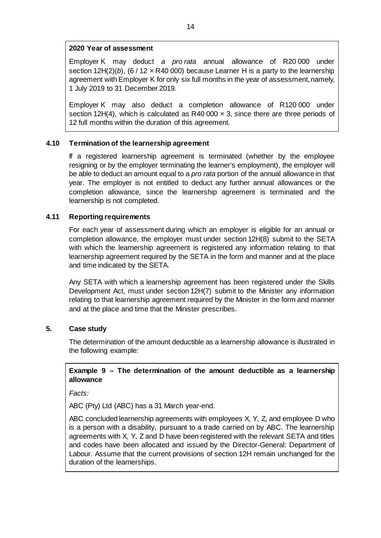### **2020 Year of assessment**

Employer K may deduct *a pro rata* annual allowance of R20 000 under section  $12H(2)(b)$ , (6 / 12  $\times$  R40 000) because Learner H is a party to the learnership agreement with Employer K for only six full months in the year of assessment, namely, 1 July 2019 to 31 December 2019.

Employer K may also deduct a completion allowance of R120 000 under section 12H(4), which is calculated as R40 000  $\times$  3, since there are three periods of 12 full months within the duration of this agreement.

### <span id="page-13-0"></span>**4.10 Termination of the learnership agreement**

If a registered learnership agreement is terminated (whether by the employee resigning or by the employer terminating the learner's employment), the employer will be able to deduct an amount equal to a *pro rata* portion of the annual allowance in that year. The employer is not entitled to deduct any further annual allowances or the completion allowance, since the learnership agreement is terminated and the learnership is not completed.

### <span id="page-13-1"></span>**4.11 Reporting requirements**

For each year of assessment during which an employer is eligible for an annual or completion allowance, the employer must under section 12H(8) submit to the SETA with which the learnership agreement is registered any information relating to that learnership agreement required by the SETA in the form and manner and at the place and time indicated by the SETA.

Any SETA with which a learnership agreement has been registered under the Skills Development Act, must under section 12H(7) submit to the Minister any information relating to that learnership agreement required by the Minister in the form and manner and at the place and time that the Minister prescribes.

### <span id="page-13-2"></span>**5. Case study**

The determination of the amount deductible as a learnership allowance is illustrated in the following example:

### **Example 9 – The determination of the amount deductible as a learnership allowance**

*Facts:*

ABC (Pty) Ltd (ABC) has a 31 March year-end.

ABC concluded learnership agreements with employees X, Y, Z, and employee D who is a person with a disability, pursuant to a trade carried on by ABC. The learnership agreements with X, Y, Z and D have been registered with the relevant SETA and titles and codes have been allocated and issued by the Director-General: Department of Labour. Assume that the current provisions of section 12H remain unchanged for the duration of the learnerships.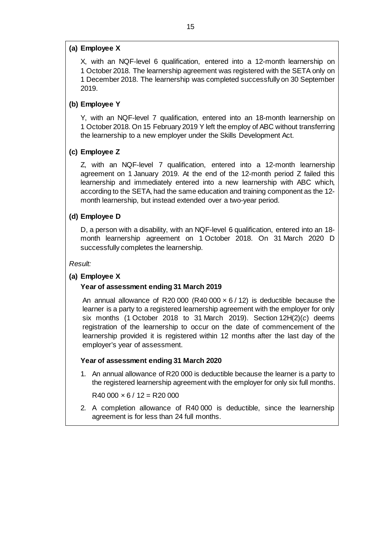### **(a) Employee X**

X, with an NQF-level 6 qualification, entered into a 12-month learnership on 1 October 2018. The learnership agreement was registered with the SETA only on 1 December 2018. The learnership was completed successfully on 30 September 2019.

### **(b) Employee Y**

Y, with an NQF-level 7 qualification, entered into an 18-month learnership on 1 October 2018. On 15 February 2019 Y left the employ of ABC without transferring the learnership to a new employer under the Skills Development Act.

#### **(c) Employee Z**

Z, with an NQF-level 7 qualification, entered into a 12-month learnership agreement on 1 January 2019. At the end of the 12-month period Z failed this learnership and immediately entered into a new learnership with ABC which, according to the SETA, had the same education and training component as the 12 month learnership, but instead extended over a two-year period.

#### **(d) Employee D**

D, a person with a disability, with an NQF-level 6 qualification, entered into an 18 month learnership agreement on 1 October 2018. On 31 March 2020 D successfully completes the learnership.

*Result:*

#### **(a) Employee X**

#### **Year of assessment ending 31 March 2019**

An annual allowance of R20 000 (R40 000  $\times$  6 / 12) is deductible because the learner is a party to a registered learnership agreement with the employer for only six months (1 October 2018 to 31 March 2019). Section 12H(2)(*c*) deems registration of the learnership to occur on the date of commencement of the learnership provided it is registered within 12 months after the last day of the employer's year of assessment.

#### **Year of assessment ending 31 March 2020**

1*.* An annual allowance of R20 000 is deductible because the learner is a party to the registered learnership agreement with the employer for only six full months.

 $R40 000 \times 6 / 12 = R20 000$ 

2*.* A completion allowance of R40 000 is deductible, since the learnership agreement is for less than 24 full months.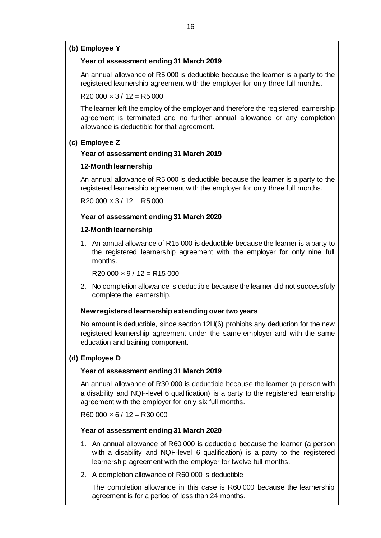#### **(b) Employee Y**

#### **Year of assessment ending 31 March 2019**

An annual allowance of R5 000 is deductible because the learner is a party to the registered learnership agreement with the employer for only three full months.

 $R20 000 \times 3 / 12 = R5 000$ 

The learner left the employ of the employer and therefore the registered learnership agreement is terminated and no further annual allowance or any completion allowance is deductible for that agreement.

### **(c) Employee Z**

### **Year of assessment ending 31 March 2019**

### **12-Month learnership**

An annual allowance of R5 000 is deductible because the learner is a party to the registered learnership agreement with the employer for only three full months.

 $R20000 \times 3 / 12 = R5000$ 

#### **Year of assessment ending 31 March 2020**

#### **12-Month learnership**

1. An annual allowance of R15 000 is deductible because the learner is a party to the registered learnership agreement with the employer for only nine full months.

 $R20 000 \times 9 / 12 = R15 000$ 

2. No completion allowance is deductible because the learner did not successfully complete the learnership.

#### **New registered learnership extending over two years**

No amount is deductible, since section 12H(6) prohibits any deduction for the new registered learnership agreement under the same employer and with the same education and training component.

### **(d) Employee D**

#### **Year of assessment ending 31 March 2019**

An annual allowance of R30 000 is deductible because the learner (a person with a disability and NQF-level 6 qualification) is a party to the registered learnership agreement with the employer for only six full months.

 $R60000 \times 6 / 12 = R30000$ 

### **Year of assessment ending 31 March 2020**

- 1. An annual allowance of R60 000 is deductible because the learner (a person with a disability and NQF-level 6 qualification) is a party to the registered learnership agreement with the employer for twelve full months.
- 2. A completion allowance of R60 000 is deductible

The completion allowance in this case is R60 000 because the learnership agreement is for a period of less than 24 months.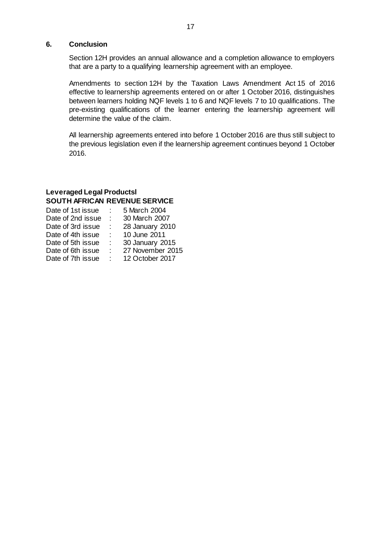#### <span id="page-16-0"></span>**6. Conclusion**

Section 12H provides an annual allowance and a completion allowance to employers that are a party to a qualifying learnership agreement with an employee.

Amendments to section 12H by the Taxation Laws Amendment Act 15 of 2016 effective to learnership agreements entered on or after 1 October 2016, distinguishes between learners holding NQF levels 1 to 6 and NQF levels 7 to 10 qualifications. The pre-existing qualifications of the learner entering the learnership agreement will determine the value of the claim.

All learnership agreements entered into before 1 October 2016 are thus still subject to the previous legislation even if the learnership agreement continues beyond 1 October 2016.

### **Leveraged Legal Productsl SOUTH AFRICAN REVENUE SERVICE**

|    | 5 March 2004     |
|----|------------------|
|    | 30 March 2007    |
|    | 28 January 2010  |
| t. | 10 June 2011     |
| ÷  | 30 January 2015  |
| ٠  | 27 November 2015 |
|    | 12 October 2017  |
|    |                  |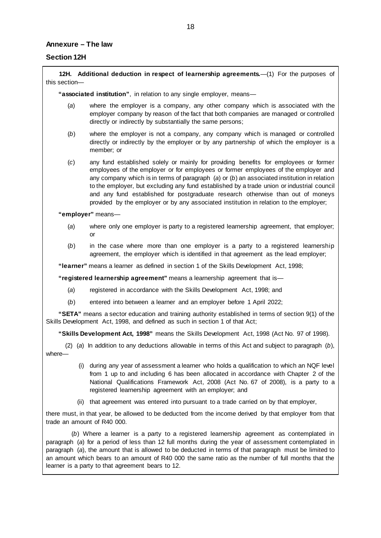#### <span id="page-17-0"></span>**Annexure – The law**

#### **Section 12H**

**12H. Additional deduction in respect of learnership agreements.**—(1) For the purposes of this section—

**"associated institution"**, in relation to any single employer, means—

- (*a*) where the employer is a company, any other company which is associated with the employer company by reason of the fact that both companies are managed or controlled directly or indirectly by substantially the same persons;
- (*b*) where the employer is not a company, any company which is managed or controlled directly or indirectly by the employer or by any partnership of which the employer is a member; or
- (*c*) any fund established solely or mainly for providing benefits for employees or former employees of the employer or for employees or former employees of the employer and any company which is in terms of paragraph (*a*) or (*b*) an associated institution in relation to the employer, but excluding any fund established by a trade union or industrial council and any fund established for postgraduate research otherwise than out of moneys provided by the employer or by any associated institution in relation to the employer;

**"employer"** means—

- (*a*) where only one employer is party to a registered learnership agreement, that employer; or
- (*b*) in the case where more than one employer is a party to a registered learnership agreement, the employer which is identified in that agreement as the lead employer;

**"learner"** means a learner as defined in section 1 of the Skills Development Act, 1998;

**"registered learnership agreement"** means a learnership agreement that is—

- (*a*) registered in accordance with the Skills Development Act, 1998; and
- (*b*) entered into between a learner and an employer before 1 April 2022;

**"SETA"** means a sector education and training authority established in terms of section 9(1) of the Skills Development Act, 1998, and defined as such in section 1 of that Act;

**"Skills Development Act, 1998"** means the Skills Development Act, 1998 (Act No. 97 of 1998).

(2) (*a*) In addition to any deductions allowable in terms of this Act and subject to paragraph (*b*), where—

- (i) during any year of assessment a learner who holds a qualification to which an NQF level from 1 up to and including 6 has been allocated in accordance with Chapter 2 of the National Qualifications Framework Act, 2008 (Act No. 67 of 2008), is a party to a registered learnership agreement with an employer; and
- (ii) that agreement was entered into pursuant to a trade carried on by that employer,

there must, in that year, be allowed to be deducted from the income derived by that employer from that trade an amount of R40 000.

(*b*) Where a learner is a party to a registered learnership agreement as contemplated in paragraph (*a*) for a period of less than 12 full months during the year of assessment contemplated in paragraph (*a*), the amount that is allowed to be deducted in terms of that paragraph must be limited to an amount which bears to an amount of R40 000 the same ratio as the number of full months that the learner is a party to that agreement bears to 12.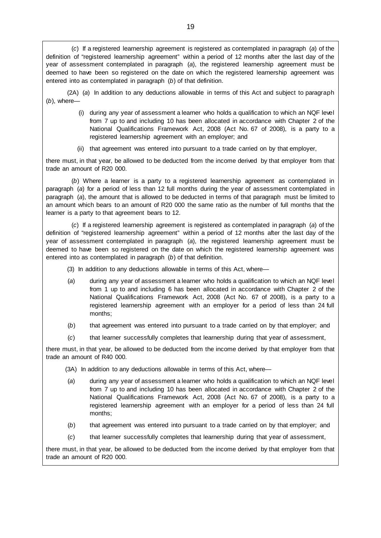(*c*) If a registered learnership agreement is registered as contemplated in paragraph (*a*) of the definition of "registered learnership agreement" within a period of 12 months after the last day of the year of assessment contemplated in paragraph (*a*), the registered learnership agreement must be deemed to have been so registered on the date on which the registered learnership agreement was entered into as contemplated in paragraph (*b*) of that definition.

(2A) (*a*) In addition to any deductions allowable in terms of this Act and subject to paragraph (*b*), where—

- (i) during any year of assessment a learner who holds a qualification to which an NQF level from 7 up to and including 10 has been allocated in accordance with Chapter 2 of the National Qualifications Framework Act, 2008 (Act No. 67 of 2008), is a party to a registered learnership agreement with an employer; and
- (ii) that agreement was entered into pursuant to a trade carried on by that employer,

there must, in that year, be allowed to be deducted from the income derived by that employer from that trade an amount of R20 000.

(*b*) Where a learner is a party to a registered learnership agreement as contemplated in paragraph (*a*) for a period of less than 12 full months during the year of assessment contemplated in paragraph (*a*), the amount that is allowed to be deducted in terms of that paragraph must be limited to an amount which bears to an amount of R20 000 the same ratio as the number of full months that the learner is a party to that agreement bears to 12.

(*c*) If a registered learnership agreement is registered as contemplated in paragraph (*a*) of the definition of "registered learnership agreement" within a period of 12 months after the last day of the year of assessment contemplated in paragraph (*a*), the registered learnership agreement must be deemed to have been so registered on the date on which the registered learnership agreement was entered into as contemplated in paragraph (*b*) of that definition.

- (3) In addition to any deductions allowable in terms of this Act, where—
- (*a*) during any year of assessment a learner who holds a qualification to which an NQF level from 1 up to and including 6 has been allocated in accordance with Chapter 2 of the National Qualifications Framework Act, 2008 (Act No. 67 of 2008), is a party to a registered learnership agreement with an employer for a period of less than 24 full months;
- (*b*) that agreement was entered into pursuant to a trade carried on by that employer; and
- (*c*) that learner successfully completes that learnership during that year of assessment,

there must, in that year, be allowed to be deducted from the income derived by that employer from that trade an amount of R40 000.

- (3A) In addition to any deductions allowable in terms of this Act, where—
- (*a*) during any year of assessment a learner who holds a qualification to which an NQF level from 7 up to and including 10 has been allocated in accordance with Chapter 2 of the National Qualifications Framework Act, 2008 (Act No. 67 of 2008), is a party to a registered learnership agreement with an employer for a period of less than 24 full months;
- (*b*) that agreement was entered into pursuant to a trade carried on by that employer; and
- (*c*) that learner successfully completes that learnership during that year of assessment,

there must, in that year, be allowed to be deducted from the income derived by that employer from that trade an amount of R20 000.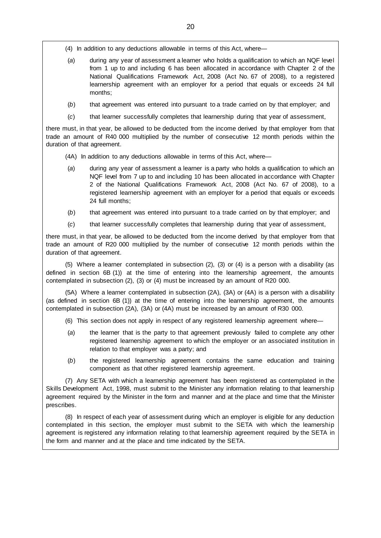(4) In addition to any deductions allowable in terms of this Act, where—

- (*a*) during any year of assessment a learner who holds a qualification to which an NQF level from 1 up to and including 6 has been allocated in accordance with Chapter 2 of the National Qualifications Framework Act, 2008 (Act No. 67 of 2008), to a registered learnership agreement with an employer for a period that equals or exceeds 24 full months;
- (*b*) that agreement was entered into pursuant to a trade carried on by that employer; and
- (*c*) that learner successfully completes that learnership during that year of assessment,

there must, in that year, be allowed to be deducted from the income derived by that employer from that trade an amount of R40 000 multiplied by the number of consecutive 12 month periods within the duration of that agreement.

- (4A) In addition to any deductions allowable in terms of this Act, where—
- (*a*) during any year of assessment a learner is a party who holds a qualification to which an NQF level from 7 up to and including 10 has been allocated in accordance with Chapter 2 of the National Qualifications Framework Act, 2008 (Act No. 67 of 2008), to a registered learnership agreement with an employer for a period that equals or exceeds 24 full months;
- (*b*) that agreement was entered into pursuant to a trade carried on by that employer; and
- (*c*) that learner successfully completes that learnership during that year of assessment,

there must, in that year, be allowed to be deducted from the income derived by that employer from that trade an amount of R20 000 multiplied by the number of consecutive 12 month periods within the duration of that agreement.

(5) Where a learner contemplated in subsection (2), (3) or (4) is a person with a disability (as defined in section 6B (1)) at the time of entering into the learnership agreement, the amounts contemplated in subsection (2), (3) or (4) must be increased by an amount of R20 000.

(5A) Where a learner contemplated in subsection (2A), (3A) or (4A) is a person with a disability (as defined in section 6B (1)) at the time of entering into the learnership agreement, the amounts contemplated in subsection (2A), (3A) or (4A) must be increased by an amount of R30 000.

(6) This section does not apply in respect of any registered learnership agreement where—

- (*a*) the learner that is the party to that agreement previously failed to complete any other registered learnership agreement to which the employer or an associated institution in relation to that employer was a party; and
- (*b*) the registered learnership agreement contains the same education and training component as that other registered learnership agreement.

(7) Any SETA with which a learnership agreement has been registered as contemplated in the Skills Development Act, 1998, must submit to the Minister any information relating to that learnership agreement required by the Minister in the form and manner and at the place and time that the Minister prescribes.

(8) In respect of each year of assessment during which an employer is eligible for any deduction contemplated in this section, the employer must submit to the SETA with which the learnership agreement is registered any information relating to that learnership agreement required by the SETA in the form and manner and at the place and time indicated by the SETA.